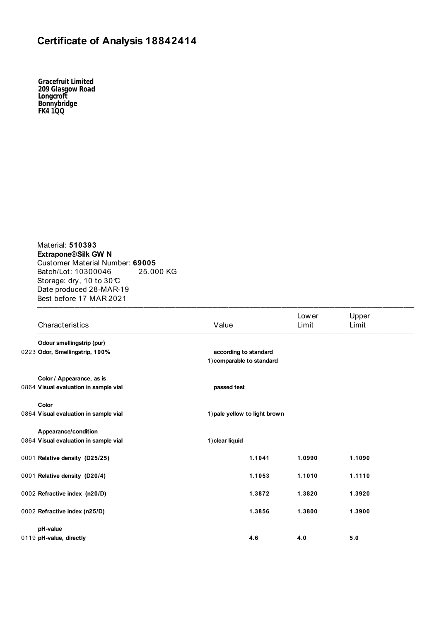## **Certificate of Analysis 18842414**

*Gracefruit Limited 209 Glasgow Road Longcroft Bonnybridge FK4 1QQ*

Material: **510393 Extrapone® Silk GW N**  Customer Material Number: **69005** Batch/Lot: 10300046 25.000 KG Storage: dry, 10 to 30℃ Date produced 28-MAR-19 Best before 17 MAR 2021  $\frac{1}{2}$ 

| Characteristics                       | Value                                              |        | Low er<br>Limit | Upper<br>Limit |
|---------------------------------------|----------------------------------------------------|--------|-----------------|----------------|
| Odour smellingstrip (pur)             |                                                    |        |                 |                |
| 0223 Odor, Smellingstrip, 100%        | according to standard<br>1) comparable to standard |        |                 |                |
| Color / Appearance, as is             |                                                    |        |                 |                |
| 0864 Visual evaluation in sample vial | passed test                                        |        |                 |                |
| Color                                 |                                                    |        |                 |                |
| 0864 Visual evaluation in sample vial | 1) pale yellow to light brown                      |        |                 |                |
| Appearance/condition                  |                                                    |        |                 |                |
| 0864 Visual evaluation in sample vial | 1) clear liquid                                    |        |                 |                |
| 0001 Relative density (D25/25)        |                                                    | 1.1041 | 1.0990          | 1.1090         |
| 0001 Relative density (D20/4)         |                                                    | 1.1053 | 1.1010          | 1.1110         |
| 0002 Refractive index (n20/D)         |                                                    | 1.3872 | 1.3820          | 1.3920         |
| 0002 Refractive index (n25/D)         |                                                    | 1.3856 | 1.3800          | 1.3900         |
| pH-value                              |                                                    |        |                 |                |
| 0119 pH-value, directly               | 4.6                                                |        | 4.0             | 5.0            |